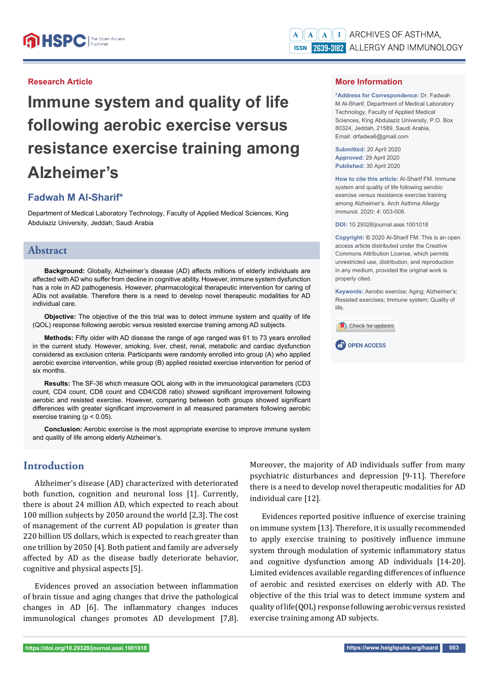## **Research Article**

**Immune system and quality of life following aerobic exercise versus resistance exercise training among Alzheimer's** 

## **Fadwah M Al-Sharif\***

Department of Medical Laboratory Technology, Faculty of Applied Medical Sciences, King Abdulaziz University, Jeddah, Saudi Arabia

## **Abstract**

**Background:** Globally, Alzheimer's disease (AD) affects millions of elderly individuals are affected with AD who suffer from decline in cognitive ability. However, immune system dysfunction has a role in AD pathogenesis. However, pharmacological therapeutic intervention for caring of ADis not available. Therefore there is a need to develop novel therapeutic modalities for AD individual care.

**Objective:** The objective of the this trial was to detect immune system and quality of life (QOL) response following aerobic versus resisted exercise training among AD subjects.

**Methods:** Fifty older with AD disease the range of age ranged was 61 to 73 years enrolled in the current study. However, smoking, liver, chest, renal, metabolic and cardiac dysfunction considered as exclusion criteria. Participants were randomly enrolled into group (A) who applied aerobic exercise intervention, while group (B) applied resisted exercise intervention for period of six months

**Results:** The SF-36 which measure QOL along with in the immunological parameters (CD3 count, CD4 count, CD8 count and CD4/CD8 ratio) showed significant improvement following aerobic and resisted exercise. However, comparing between both groups showed significant differences with greater significant improvement in all measured parameters following aerobic exercise training (p < 0.05).

**Conclusion:** Aerobic exercise is the most appropriate exercise to improve immune system and quality of life among elderly Alzheimer's.

## **Introduction**

Alzheimer's disease (AD) characterized with deteriorated both function, cognition and neuronal loss [1]. Currently, there is about 24 million AD, which expected to reach about 100 million subjects by 2050 around the world [2,3]. The cost of management of the current AD population is greater than 220 billion US dollars, which is expected to reach greater than one trillion by 2050 [4]. Both patient and family are adversely affected by AD as the disease badly deteriorate behavior, cognitive and physical aspects [5].

Evidences proved an association between inflammation of brain tissue and aging changes that drive the pathological changes in AD [6]. The inflammatory changes induces immunological changes promotes AD development [7,8].

#### **More Information**

**\*Address for Correspondence:** Dr. Fadwah M Al-Sharif, Department of Medical Laboratory Technology, Faculty of Applied Medical Sciences, King Abdulaziz University, P.O. Box 80324, Jeddah, 21589, Saudi Arabia, Email: drfadwa6@gmail.com

**Submitted:** 20 April 2020 **Approved:** 29 April 2020 **Published:** 30 April 2020

**How to cite this article:** Al-Sharif FM. Immune system and quality of life following aerobic exercise versus resistance exercise training among Alzheimer's. Arch Asthma Allergy Immunol. 2020; 4: 003-008.

**DOI:** 10.29328/journal.aaai.1001018

**Copyright: ©** 2020 Al-Sharif FM. This is an open access article distributed under the Creative Commons Attribution License, which permits unrestricted use, distribution, and reproduction in any medium, provided the original work is properly cited.

**Keywords:** Aerobic exercise; Aging; Alzheimer's; Resisted exercises; Immune system; Quality of life.





Moreover, the majority of AD individuals suffer from many psychiatric disturbances and depression [9-11]. Therefore there is a need to develop novel therapeutic modalities for AD individual care [12].

Evidences reported positive influence of exercise training on immune system [13]. Therefore, it is usually recommended to apply exercise training to positively influence immune system through modulation of systemic inflammatory status and cognitive dysfunction among AD individuals [14-20]. Limited evidences available regarding differences of influence of aerobic and resisted exercises on elderly with AD. The objective of the this trial was to detect immune system and quality of life(QOL) response following aerobic versus resisted exercise training among AD subjects.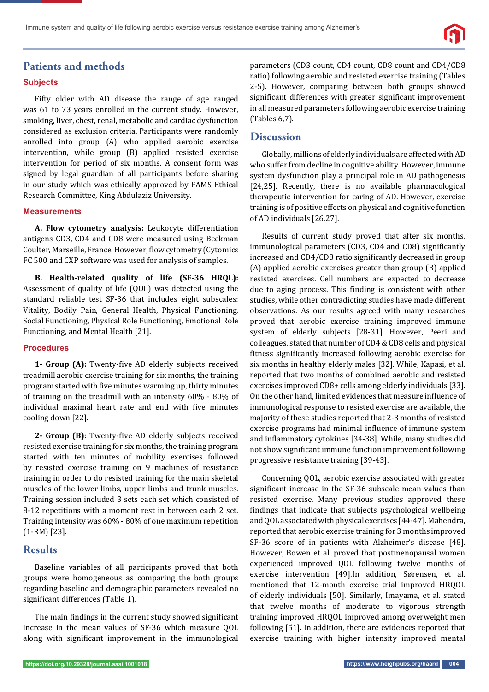# **Patients and methods**

#### **Subjects**

Fifty older with AD disease the range of age ranged was 61 to 73 years enrolled in the current study. However, smoking, liver, chest, renal, metabolic and cardiac dysfunction considered as exclusion criteria. Participants were randomly enrolled into group (A) who applied aerobic exercise intervention, while group (B) applied resisted exercise intervention for period of six months. A consent form was signed by legal guardian of all participants before sharing in our study which was ethically approved by FAMS Ethical Research Committee, King Abdulaziz University.

#### **Measurements**

**A. Flow cytometry analysis:** Leukocyte differentiation antigens CD3, CD4 and CD8 were measured using Beckman Coulter, Marseille, France. However, flow cytometry (Cytomics FC 500 and CXP software was used for analysis of samples.

**B. Health-related quality of life (SF-36 HRQL):** Assessment of quality of life (QOL) was detected using the standard reliable test SF-36 that includes eight subscales: Vitality, Bodily Pain, General Health, Physical Functioning, Social Functioning, Physical Role Functioning, Emotional Role Functioning, and Mental Health [21].

#### **Procedures**

1- Group (A): Twenty-five AD elderly subjects received treadmill aerobic exercise training for six months, the training program started with five minutes warming up, thirty minutes of training on the treadmill with an intensity 60% - 80% of individual maximal heart rate and end with five minutes cooling down [22].

2- Group (B): Twenty-five AD elderly subjects received resisted exercise training for six months, the training program started with ten minutes of mobility exercises followed by resisted exercise training on 9 machines of resistance training in order to do resisted training for the main skeletal muscles of the lower limbs, upper limbs and trunk muscles. Training session included 3 sets each set which consisted of 8-12 repetitions with a moment rest in between each 2 set. Training intensity was 60% - 80% of one maximum repetition (1-RM) [23].

## **Results**

Baseline variables of all participants proved that both groups were homogeneous as comparing the both groups regarding baseline and demographic parameters revealed no significant differences (Table 1).

The main findings in the current study showed significant increase in the mean values of SF-36 which measure QOL along with significant improvement in the immunological parameters (CD3 count, CD4 count, CD8 count and CD4/CD8 ratio) following aerobic and resisted exercise training (Tables 2-5). However, comparing between both groups showed significant differences with greater significant improvement in all measured parameters following aerobic exercise training (Tables 6,7).

## **Discussion**

Globally, millions of elderly individuals are affected with AD who suffer from decline in cognitive ability. However, immune system dysfunction play a principal role in AD pathogenesis [24,25]. Recently, there is no available pharmacological therapeutic intervention for caring of AD. However, exercise training is of positive effects on physical and cognitive function of AD individuals [26,27].

Results of current study proved that after six months, immunological parameters (CD3, CD4 and CD8) significantly increased and CD4/CD8 ratio significantly decreased in group (A) applied aerobic exercises greater than group (B) applied resisted exercises. Cell numbers are expected to decrease due to aging process. This finding is consistent with other studies, while other contradicting studies have made different observations. As our results agreed with many researches proved that aerobic exercise training improved immune system of elderly subjects [28-31]. However, Peeri and colleagues, stated that number of CD4 & CD8 cells and physical fitness significantly increased following aerobic exercise for six months in healthy elderly males [32]. While, Kapasi, et al*.* reported that two months of combined aerobic and resisted exercises improved CD8+ cells among elderly individuals [33]. On the other hand, limited evidences that measure influence of immunological response to resisted exercise are available, the majority of these studies reported that 2-3 months of resisted exercise programs had minimal influence of immune system and inflammatory cytokines [34-38]. While, many studies did not show significant immune function improvement following progressive resistance training [39-43].

Concerning QOL, aerobic exercise associated with greater significant increase in the SF-36 subscale mean values than resisted exercise. Many previous studies approved these findings that indicate that subjects psychological wellbeing and QOL associated with physical exercises [44-47]. Mahendra, reported that aerobic exercise training for 3 months improved SF-36 score of in patients with Alzheimer's disease [48]. However, Bowen et al*.* proved that postmenopausal women experienced improved QOL following twelve months of exercise intervention [49].In addition, Sørensen, et al*.*  mentioned that 12-month exercise trial improved HRQOL of elderly individuals [50]. Similarly, Imayama, et al. stated that twelve months of moderate to vigorous strength training improved HRQOL improved among overweight men following [51]. In addition, there are evidences reported that exercise training with higher intensity improved mental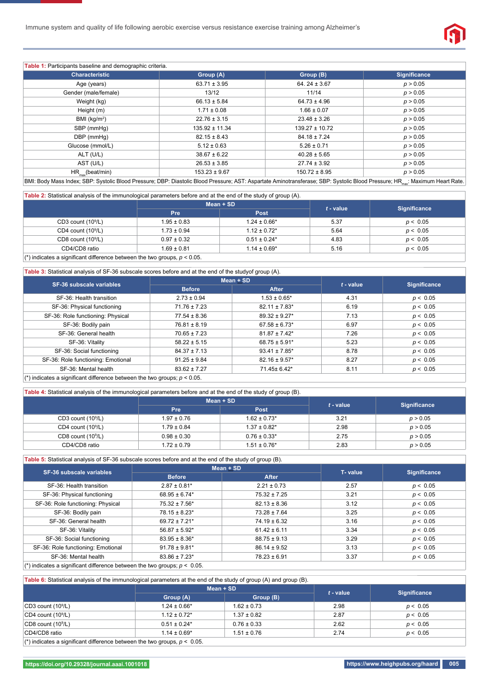

| <b>Table 1:</b> Participants baseline and demographic criteria.                                                                                                                           |                    |                    |                     |  |
|-------------------------------------------------------------------------------------------------------------------------------------------------------------------------------------------|--------------------|--------------------|---------------------|--|
| <b>Characteristic</b>                                                                                                                                                                     | Group (A)          | Group (B)          | <b>Significance</b> |  |
| Age (years)                                                                                                                                                                               | $63.71 \pm 3.95$   | 64.24 $\pm$ 3.67   | p > 0.05            |  |
| Gender (male/female)                                                                                                                                                                      | 13/12              | 11/14              | p > 0.05            |  |
| Weight (kg)                                                                                                                                                                               | $66.13 \pm 5.84$   | $64.73 \pm 4.96$   | p > 0.05            |  |
| Height (m)                                                                                                                                                                                | $1.71 \pm 0.08$    | $1.66 \pm 0.07$    | p > 0.05            |  |
| BMI (kg/m <sup>2</sup> )                                                                                                                                                                  | $22.76 \pm 3.15$   | $23.48 \pm 3.26$   | p > 0.05            |  |
| SBP (mmHg)                                                                                                                                                                                | $135.92 \pm 11.34$ | $139.27 \pm 10.72$ | p > 0.05            |  |
| DBP (mmHq)                                                                                                                                                                                | $82.15 \pm 8.43$   | $84.18 \pm 7.24$   | p > 0.05            |  |
| Glucose (mmol/L)                                                                                                                                                                          | $5.12 \pm 0.63$    | $5.26 \pm 0.71$    | p > 0.05            |  |
| ALT (U/L)                                                                                                                                                                                 | $38.67 \pm 6.22$   | $40.28 \pm 5.65$   | p > 0.05            |  |
| AST (U/L)                                                                                                                                                                                 | $26.53 \pm 3.85$   | $27.74 \pm 3.92$   | p > 0.05            |  |
| $HR_{\text{max}}(beat/min)$                                                                                                                                                               | $153.23 \pm 9.67$  | $150.72 \pm 8.95$  | p > 0.05            |  |
| BMI: Body Mass Index; SBP: Systolic Blood Pressure; DBP: Diastolic Blood Pressure; AST: Aspartate Aminotransferase; SBP: Systolic Blood Pressure; HR <sub>max</sub> : Maximum Heart Rate. |                    |                    |                     |  |

## **Table 2:** Statistical analysis of the immunological parameters before and at the end of the study of group (A).

|                                                                               |                 | $Mean + SD$       |             |                     |  |
|-------------------------------------------------------------------------------|-----------------|-------------------|-------------|---------------------|--|
|                                                                               | <b>Pre</b>      | Post              | $t$ - value | <b>Significance</b> |  |
| CD3 count $(109/L)$                                                           | $1.95 \pm 0.83$ | $1.24 \pm 0.66*$  | 5.37        | p < 0.05            |  |
| CD4 count $(109/L)$                                                           | $1.73 \pm 0.94$ | $1.12 \pm 0.72$ * | 5.64        | p < 0.05            |  |
| CD8 count $(109/L)$                                                           | $0.97 \pm 0.32$ | $0.51 \pm 0.24*$  | 4.83        | p < 0.05            |  |
| CD4/CD8 ratio                                                                 | $1.69 \pm 0.81$ | $1.14 \pm 0.69*$  | 5.16        | p < 0.05            |  |
| $(*)$ indicates a significant difference between the two groups, $p < 0.05$ . |                 |                   |             |                     |  |

#### **Table 3:** Statistical analysis of SF-36 subscale scores before and at the end of the studyof group (A).

| SF-36 subscale variables           | $Mean + SD$      |                               |             |                     |
|------------------------------------|------------------|-------------------------------|-------------|---------------------|
|                                    | <b>Before</b>    | After                         | $t$ - value | <b>Significance</b> |
| SF-36: Health transition           | $2.73 \pm 0.94$  | $1.53 \pm 0.65$ *             | 4.31        | p < 0.05            |
| SF-36: Physical functioning        | $71.76 \pm 7.23$ | $82.11 \pm 7.83$ <sup>*</sup> | 6.19        | p < 0.05            |
| SF-36: Role functioning: Physical  | $77.54 \pm 8.36$ | $89.32 \pm 9.27$ *            | 7.13        | p < 0.05            |
| SF-36: Bodily pain                 | $76.81 \pm 8.19$ | $67.58 \pm 6.73$ *            | 6.97        | p < 0.05            |
| SF-36: General health              | $70.65 \pm 7.23$ | $81.87 \pm 7.42$ *            | 7.26        | p < 0.05            |
| SF-36: Vitality                    | $58.22 \pm 5.15$ | $68.75 \pm 5.91*$             | 5.23        | p < 0.05            |
| SF-36: Social functioning          | $84.37 \pm 7.13$ | $93.41 \pm 7.85$ <sup>*</sup> | 8.78        | p < 0.05            |
| SF-36: Role functioning: Emotional | $91.25 \pm 9.84$ | $82.16 \pm 9.57$ *            | 8.27        | p < 0.05            |
| SF-36: Mental health               | $83.62 \pm 7.27$ | 71.45± 6.42*                  | 8.11        | p < 0.05            |

#### ( $\tilde{ }$ ) indicates a significant difference between the two groups;  $p < 0.05$ .

#### **Table 4:** Statistical analysis of the immunological parameters before and at the end of the study of group (B).

|                       | <b>Table 4.</b> Otalistical analysis of the immanological parameters before and at the chalor the stady of group (D). |                   |             |                     |
|-----------------------|-----------------------------------------------------------------------------------------------------------------------|-------------------|-------------|---------------------|
|                       |                                                                                                                       | $Mean + SD$       | $t$ - value | <b>Significance</b> |
|                       | <b>Pre</b>                                                                                                            | <b>Post</b>       |             |                     |
| $CD3$ count $(109/L)$ | $1.97 \pm 0.76$                                                                                                       | $1.62 \pm 0.73$ * | 3.21        | p > 0.05            |
| $CD4$ count $(109/L)$ | $1.79 \pm 0.84$                                                                                                       | $1.37 \pm 0.82^*$ | 2.98        | p > 0.05            |
| CD8 count $(10^9/L)$  | $0.98 \pm 0.30$                                                                                                       | $0.76 \pm 0.33*$  | 2.75        | p > 0.05            |
| CD4/CD8 ratio         | $1.72 \pm 0.79$                                                                                                       | $1.51 \pm 0.76*$  | 2.83        | p > 0.05            |

#### **Table 5:** Statistical analysis of SF-36 subscale scores before and at the end of the study of group (B).

| SF-36 subscale variables           | Mean + SD                     |                  |         |                     |
|------------------------------------|-------------------------------|------------------|---------|---------------------|
|                                    | <b>Before</b>                 | After            | T-value | <b>Significance</b> |
| SF-36: Health transition           | $2.87 \pm 0.81$ <sup>*</sup>  | $2.21 \pm 0.73$  | 2.57    | p < 0.05            |
| SF-36: Physical functioning        | $68.95 \pm 6.74*$             | $75.32 \pm 7.25$ | 3.21    | p < 0.05            |
| SF-36: Role functioning: Physical  | $75.32 \pm 7.56^*$            | $82.13 \pm 8.36$ | 3.12    | p < 0.05            |
| SF-36: Bodily pain                 | $78.15 \pm 8.23*$             | $73.28 \pm 7.64$ | 3.25    | p < 0.05            |
| SF-36: General health              | $69.72 \pm 7.21$ *            | $74.19 \pm 6.32$ | 3.16    | p < 0.05            |
| SF-36: Vitality                    | $56.87 \pm 5.92$ *            | $61.42 \pm 6.11$ | 3.34    | p < 0.05            |
| SF-36: Social functioning          | $83.95 \pm 8.36^*$            | $88.75 \pm 9.13$ | 3.29    | p < 0.05            |
| SF-36: Role functioning: Emotional | $91.78 \pm 9.81$ <sup>*</sup> | $86.14 \pm 9.52$ | 3.13    | p < 0.05            |
| SF-36: Mental health               | $83.86 \pm 7.23$ *            | $78.23 \pm 6.91$ | 3.37    | p < 0.05            |
|                                    |                               |                  |         |                     |

(\*) indicates a significant difference between the two groups;  $p < 0.05$ .

|                        |                   | $Mean + SD$     |             |                     |
|------------------------|-------------------|-----------------|-------------|---------------------|
|                        | Group (A)         | Group (B)       | $t$ - value | <b>Significance</b> |
| $ CD3$ count $(109/L)$ | $1.24 \pm 0.66*$  | $1.62 \pm 0.73$ | 2.98        | p < 0.05            |
| $ CD4$ count $(109/L)$ | $1.12 \pm 0.72$ * | $1.37 \pm 0.82$ | 2.87        | p < 0.05            |
| $ CD8$ count $(109/L)$ | $0.51 \pm 0.24*$  | $0.76 \pm 0.33$ | 2.62        | p < 0.05            |
| CD4/CD8 ratio          | $1.14 \pm 0.69^*$ | $1.51 \pm 0.76$ | 2.74        | p < 0.05            |

(\*) indicates a significant difference between the two groups,  $p < 0.05$ .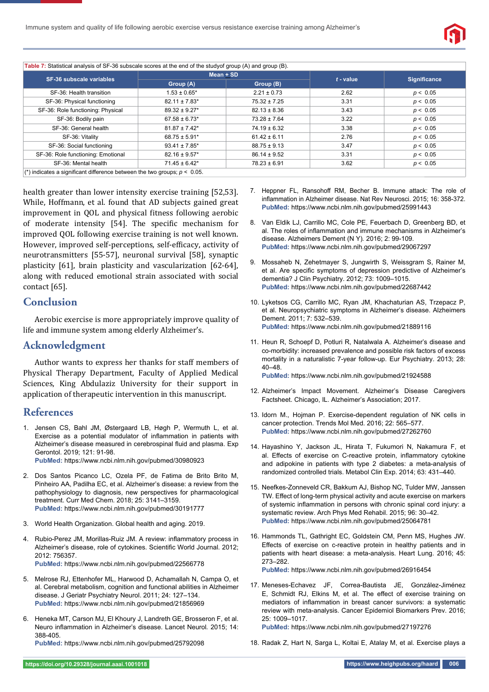

**Table 7:** Statistical analysis of SF-36 subscale scores at the end of the studyof group (A) and group (B). **SF-36 subscale variables Mean + SD Group (A)** Group (B) **Group (B) F** - value Significance SF-36: Health transition 1.53 ± 0.65\* 2.21 ± 0.73 2.62 *p <* 0.05 SF-36: Physical functioning 82.11 ± 7.83\* 75.32 ± 7.25 3.31 *p <* 0.05 SF-36: Role functioning: Physical 89.32 ± 9.27\* 82.13 ± 8.36 3.43 *p <* 0.05 SF-36: Bodily pain 67.58 ± 6.73\* 73.28 ± 7.64 3.22 *p <* 0.05 SF-36: General health 81.87 ± 7.42\* 74.19 ± 6.32 3.38 *p <* 0.05 SF-36: Vitality 68.75 ± 5.91\* 61.42 ± 6.11 2.76 *p <* 0.05 SF-36: Social functioning 93.41 ± 7.85\* 88.75 ± 9.13 3.47 *p <* 0.05 SF-36: Role functioning: Emotional 82.16 ± 9.57\* 86.14 ± 9.52 3.31 *p <* 0.05 SF-36: Mental health 71.45 ± 6.42\* 78.23 ± 6.91 3.62 *p <* 0.05 ( $*$ ) indicates a significant difference between the two groups;  $p < 0.05$ .

health greater than lower intensity exercise training [52,53]. While, Hoffmann, et al*.* found that AD subjects gained great improvement in QOL and physical fitness following aerobic of moderate intensity [54]. The specific mechanism for improved QOL following exercise training is not well known. However, improved self-perceptions, self-efficacy, activity of neurotransmitters [55-57], neuronal survival [58], synaptic plasticity [61], brain plasticity and vascularization [62-64], along with reduced emotional strain associated with social contact [65].

## **Conclusion**

Aerobic exercise is more appropriately improve quality of life and immune system among elderly Alzheimer's.

#### **Acknowledgment**

Author wants to express her thanks for staff members of Physical Therapy Department, Faculty of Applied Medical Sciences, King Abdulaziz University for their support in application of therapeutic intervention in this manuscript.

### **References**

1. Jensen CS, Bahl JM, Østergaard LB, Høgh P, Wermuth L, et al. Exercise as a potential modulator of inflammation in patients with Alzheimer's disease measured in cerebrospinal fluid and plasma. Exp Gerontol. 2019; 121: 91-98.

**PubMed:** https://www.ncbi.nlm.nih.gov/pubmed/30980923

- 2. Dos Santos Picanco LC, Ozela PF, de Fatima de Brito Brito M, Pinheiro AA, Padilha EC, et al. Alzheimer's disease: a review from the pathophysiology to diagnosis, new perspectives for pharmacological treatment. Curr Med Chem. 2018; 25: 3141–3159. **PubMed:** https://www.ncbi.nlm.nih.gov/pubmed/30191777
- 3. World Health Organization. Global health and aging. 2019.
- 4. Rubio-Perez JM, Morillas-Ruiz JM. A review: inflammatory process in Alzheimer's disease, role of cytokines. Scientific World Journal. 2012; 2012: 756357. **PubMed:** https://www.ncbi.nlm.nih.gov/pubmed/22566778
- 5. Melrose RJ, Ettenhofer ML, Harwood D, Achamallah N, Campa O, et al. Cerebral metabolism, cognition and functional abilities in Alzheimer disease. J Geriatr Psychiatry Neurol. 2011; 24: 127–134. **PubMed:** https://www.ncbi.nlm.nih.gov/pubmed/21856969
- 6. Heneka MT, Carson MJ, El Khoury J, Landreth GE, Brosseron F, et al. Neuro inflammation in Alzheimer's disease. Lancet Neurol. 2015; 14: 388-405.

**PubMed:** https://www.ncbi.nlm.nih.gov/pubmed/25792098

- 7. Heppner FL, Ransohoff RM, Becher B. Immune attack: The role of inflammation in Alzheimer disease. Nat Rev Neurosci. 2015; 16: 358-372. **PubMed:** https://www.ncbi.nlm.nih.gov/pubmed/25991443
- 8. Van Eldik LJ, Carrillo MC, Cole PE, Feuerbach D, Greenberg BD, et al. The roles of inflammation and immune mechanisms in Alzheimer's disease. Alzheimers Dement (N Y)*.* 2016; 2: 99-109. **PubMed:** https://www.ncbi.nlm.nih.gov/pubmed/29067297
- 9. Mossaheb N, Zehetmayer S, Jungwirth S, Weissgram S, Rainer M, et al. Are specific symptoms of depression predictive of Alzheimer's dementia? J Clin Psychiatry. 2012; 73: 1009–1015. **PubMed:** https://www.ncbi.nlm.nih.gov/pubmed/22687442
- 10. Lyketsos CG, Carrillo MC, Ryan JM, Khachaturian AS, Trzepacz P, et al. Neuropsychiatric symptoms in Alzheimer's disease. Alzheimers Dement. 2011; 7: 532–539. **PubMed:** https://www.ncbi.nlm.nih.gov/pubmed/21889116
- 11. Heun R, Schoepf D, Potluri R, Natalwala A. Alzheimer's disease and co-morbidity: increased prevalence and possible risk factors of excess mortality in a naturalistic 7-year follow-up. Eur Psychiatry. 2013; 28: 40–48.

**PubMed:** https://www.ncbi.nlm.nih.gov/pubmed/21924588

- 12. Alzheimer's Impact Movement. Alzheimer's Disease Caregivers Factsheet. Chicago, IL. Alzheimer's Association; 2017.
- 13. Idorn M., Hojman P. Exercise-dependent regulation of NK cells in cancer protection. Trends Mol Med. 2016; 22: 565–577. **PubMed:** https://www.ncbi.nlm.nih.gov/pubmed/27262760
- 14. Hayashino Y, Jackson JL, Hirata T, Fukumori N, Nakamura F, et al. Effects of exercise on C-reactive protein, inflammatory cytokine and adipokine in patients with type 2 diabetes: a meta-analysis of randomized controlled trials. Metabol Clin Exp. 2014; 63: 431–440.
- 15. Neefkes-Zonneveld CR, Bakkum AJ, Bishop NC, Tulder MW, Janssen TW. Effect of long-term physical activity and acute exercise on markers of systemic inflammation in persons with chronic spinal cord injury: a systematic review. Arch Phys Med Rehabil. 2015; 96: 30–42. **PubMed:** https://www.ncbi.nlm.nih.gov/pubmed/25064781
- 16. Hammonds TL, Gathright EC, Goldstein CM, Penn MS, Hughes JW. Effects of exercise on c-reactive protein in healthy patients and in patients with heart disease: a meta-analysis. Heart Lung. 2016; 45: 273–282.

**PubMed:** https://www.ncbi.nlm.nih.gov/pubmed/26916454

17. Meneses-Echavez JF, Correa-Bautista JE, González-Jiménez E. Schmidt RJ, Elkins M, et al. The effect of exercise training on mediators of inflammation in breast cancer survivors: a systematic review with meta-analysis. Cancer Epidemiol Biomarkers Prev. 2016; 25: 1009–1017.

**PubMed:** https://www.ncbi.nlm.nih.gov/pubmed/27197276

18. Radak Z, Hart N, Sarga L, Koltai E, Atalay M, et al. Exercise plays a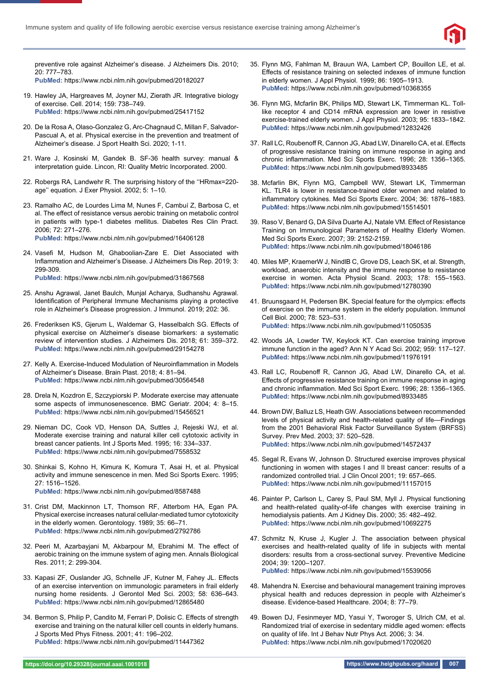

preventive role against Alzheimer's disease. J Alzheimers Dis. 2010; 20: 777–783. **PubMed:** https://www.ncbi.nlm.nih.gov/pubmed/20182027

- 19. Hawley JA, Hargreaves M, Joyner MJ, Zierath JR. Integrative biology of exercise. Cell. 2014; 159: 738–749. **PubMed:** https://www.ncbi.nlm.nih.gov/pubmed/25417152
- 20. De la Rosa A, Olaso-Gonzalez G, Arc-Chagnaud C, Millan F, Salvador-Pascual A, et al. Physical exercise in the prevention and treatment of Alzheimer's disease. J Sport Health Sci. 2020; 1-11.
- 21. Ware J, Kosinski M, Gandek B. SF-36 health survey: manual & interpretation guide. Lincon, RI: Quality Metric Incorporated. 2000.
- 22. Robergs RA, Landwehr R. The surprising history of the ''HRmax=220 age'' equation. J Exer Physiol. 2002; 5: 1–10.
- 23. Ramalho AC, de Lourdes Lima M, Nunes F, Cambuí Z, Barbosa C, et al. The effect of resistance versus aerobic training on metabolic control in patients with type-1 diabetes mellitus. Diabetes Res Clin Pract. 2006; 72: 271–276. **PubMed:** https://www.ncbi.nlm.nih.gov/pubmed/16406128
- 24. Vasefi M, Hudson M, Ghaboolian-Zare E. Diet Associated with Inflammation and Alzheimer's Disease. J Alzheimers Dis Rep. 2019; 3: 299-309.

**PubMed:** https://www.ncbi.nlm.nih.gov/pubmed/31867568

- 25. Anshu Agrawal, Janet Baulch, Munjal Acharya, Sudhanshu Agrawal. Identification of Peripheral Immune Mechanisms playing a protective role in Alzheimer's Disease progression. J Immunol. 2019; 202: 36.
- 26. Frederiksen KS, Gjerum L, Waldemar G, Hasselbalch SG. Effects of physical exercise on Alzheimer's disease biomarkers: a systematic review of intervention studies. J Alzheimers Dis. 2018; 61: 359–372. **PubMed:** https://www.ncbi.nlm.nih.gov/pubmed/29154278
- 27. Kelly A. Exercise-Induced Modulation of Neuroinflammation in Models of Alzheimer's Disease. Brain Plast. 2018; 4: 81–94. **PubMed:** https://www.ncbi.nlm.nih.gov/pubmed/30564548
- 28. Drela N, Kozdron E, Szczypiorski P. Moderate exercise may attenuate some aspects of immunosenescence. BMC Geriatr. 2004; 4: 8–15. **PubMed:** https://www.ncbi.nlm.nih.gov/pubmed/15456521
- 29. Nieman DC, Cook VD, Henson DA, Suttles J, Rejeski WJ, et al. Moderate exercise training and natural killer cell cytotoxic activity in breast cancer patients. Int J Sports Med. 1995; 16: 334–337. **PubMed:** https://www.ncbi.nlm.nih.gov/pubmed/7558532
- 30. Shinkai S, Kohno H, Kimura K, Komura T, Asai H, et al. Physical activity and immune senescence in men. Med Sci Sports Exerc. 1995; 27: 1516–1526. **PubMed:** https://www.ncbi.nlm.nih.gov/pubmed/8587488
- 31. Crist DM, Mackinnon LT, Thomson RF, Atterbom HA, Egan PA. Physical exercise increases natural cellular-mediated tumor cytotoxicity in the elderly women. Gerontology. 1989; 35: 66–71. **PubMed:** https://www.ncbi.nlm.nih.gov/pubmed/2792786
- 32. Peeri M, Azarbayjani M, Akbarpour M, Ebrahimi M. The effect of aerobic training on the immune system of aging men. Annals Biological Res. 2011; 2: 299-304.
- 33. Kapasi ZF, Ouslander JG, Schnelle JF, Kutner M, Fahey JL. Effects of an exercise intervention on immunologic parameters in frail elderly nursing home residents. J Gerontol Med Sci. 2003; 58: 636–643. **PubMed:** https://www.ncbi.nlm.nih.gov/pubmed/12865480
- 34. Bermon S, Philip P, Candito M, Ferrari P, Dolisic C. Effects of strength exercise and training on the natural killer cell counts in elderly humans. J Sports Med Phys Fitness. 2001; 41: 196–202. **PubMed:** https://www.ncbi.nlm.nih.gov/pubmed/11447362
- 35. Flynn MG, Fahlman M, Brauun WA, Lambert CP, Bouillon LE, et al. Effects of resistance training on selected indexes of immune function in elderly women. J Appl Physiol. 1999; 86: 1905–1913. **PubMed:** https://www.ncbi.nlm.nih.gov/pubmed/10368355
- 36. Flynn MG, Mcfarlin BK, Philips MD, Stewart LK, Timmerman KL. Tolllike receptor 4 and CD14 mRNA expression are lower in resistive exercise-trained elderly women. J Appl Physiol. 2003; 95: 1833–1842. **PubMed:** https://www.ncbi.nlm.nih.gov/pubmed/12832426
- 37. Rall LC, Roubenoff R, Cannon JG, Abad LW, Dinarello CA, et al. Effects of progressive resistance training on immune response in aging and chronic inflammation. Med Sci Sports Exerc. 1996; 28: 1356-1365. **PubMed:** https://www.ncbi.nlm.nih.gov/pubmed/8933485
- 38. Mcfarlin BK, Flynn MG, Campbell WW, Stewart LK, Timmerman KL. TLR4 is lower in resistance-trained older women and related to inflammatory cytokines. Med Sci Sports Exerc. 2004; 36: 1876-1883. **PubMed:** https://www.ncbi.nlm.nih.gov/pubmed/15514501
- 39. Raso V, Benard G, DA Silva Duarte AJ, Natale VM. Effect of Resistance Training on Immunological Parameters of Healthy Elderly Women. Med Sci Sports Exerc. 2007; 39: 2152-2159. **PubMed:** https://www.ncbi.nlm.nih.gov/pubmed/18046186
- 40. Miles MP, KraemerW J, NindlB C, Grove DS, Leach SK, et al. Strength, workload, anaerobic intensity and the immune response to resistance exercise in women. Acta Physiol Scand. 2003; 178: 155–1563. **PubMed:** https://www.ncbi.nlm.nih.gov/pubmed/12780390
- 41. Bruunsgaard H, Pedersen BK. Special feature for the olympics: effects of exercise on the immune system in the elderly population. Immunol Cell Biol. 2000; 78: 523–531. **PubMed:** https://www.ncbi.nlm.nih.gov/pubmed/11050535
- 42. Woods JA, Lowder TW, Keylock KT. Can exercise training improve immune function in the aged? Ann N Y Acad Sci. 2002; 959: 117–127. **PubMed:** https://www.ncbi.nlm.nih.gov/pubmed/11976191
- 43. Rall LC, Roubenoff R, Cannon JG, Abad LW, Dinarello CA, et al. Effects of progressive resistance training on immune response in aging and chronic inflammation. Med Sci Sport Exerc. 1996; 28: 1356-1365. **PubMed:** https://www.ncbi.nlm.nih.gov/pubmed/8933485
- 44. Brown DW, Balluz LS, Heath GW. Associations between recommended levels of physical activity and health-related quality of life—Findings from the 2001 Behavioral Risk Factor Surveillance System (BRFSS) Survey. Prev Med. 2003; 37: 520–528. **PubMed:** https://www.ncbi.nlm.nih.gov/pubmed/14572437
- 45. Segal R, Evans W, Johnson D. Structured exercise improves physical functioning in women with stages I and II breast cancer: results of a randomized controlled trial. J Clin Oncol 2001; 19: 657–665. **PubMed:** https://www.ncbi.nlm.nih.gov/pubmed/11157015
- 46. Painter P, Carlson L, Carey S, Paul SM, Myll J. Physical functioning and health-related quality-of-life changes with exercise training in hemodialysis patients. Am J Kidney Dis. 2000; 35: 482–492. **PubMed:** https://www.ncbi.nlm.nih.gov/pubmed/10692275
- 47. Schmitz N, Kruse J, Kugler J. The association between physical exercises and health-related quality of life in subjects with mental disorders: results from a cross-sectional survey. Preventive Medicine 2004; 39: 1200–1207. **PubMed:** https://www.ncbi.nlm.nih.gov/pubmed/15539056
- 48. Mahendra N. Exercise and behavioural management training improves physical health and reduces depression in people with Alzheimer's disease. Evidence-based Healthcare. 2004; 8: 77–79.
- 49. Bowen DJ, Fesinmeyer MD, Yasui Y, Tworoger S, Ulrich CM, et al. Randomized trial of exercise in sedentary middle aged women: effects on quality of life. Int J Behav Nutr Phys Act. 2006; 3: 34. **PubMed:** https://www.ncbi.nlm.nih.gov/pubmed/17020620